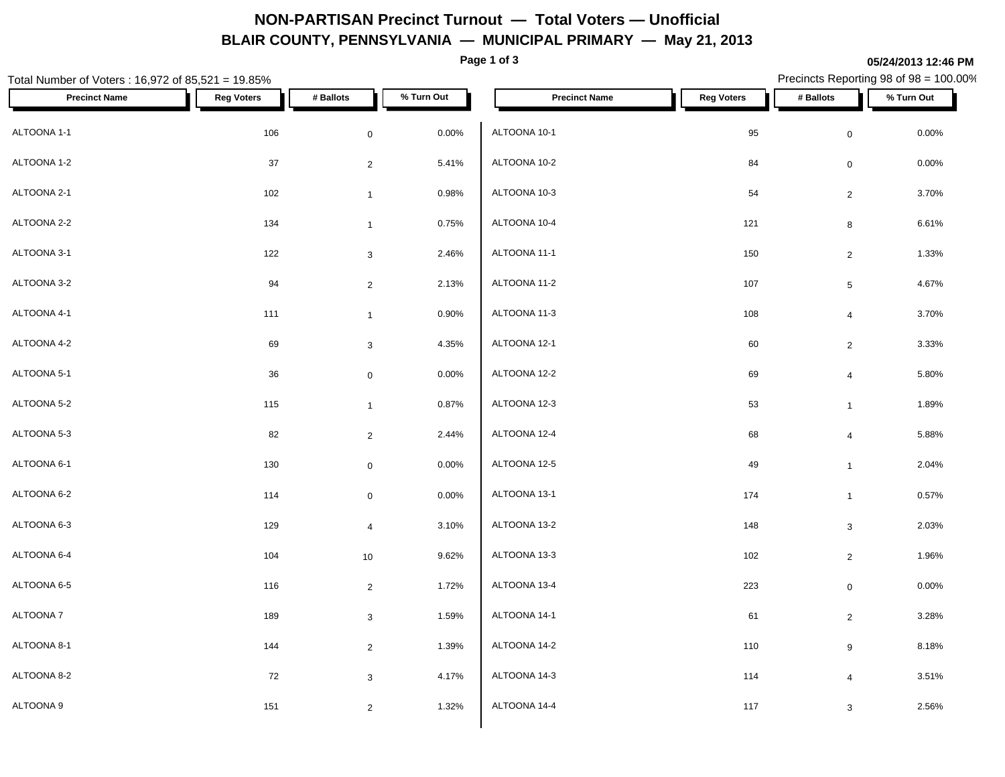## **NON-PARTISAN Precinct Turnout — Total Voters — Unofficial BLAIR COUNTY, PENNSYLVANIA — MUNICIPAL PRIMARY — May 21, 2013**

**Page 1 of 3**

**05/24/2013 12:46 PM**

### Total Number of Voters : 16,972 of 85,521 = 19.85% Precincts Reporting 98 of 98 = 100.00% **Precinct Name Reg Voters # Ballots % Turn Out Precinct Name Reg Voters # Ballots % Turn Out**  $\hbox{ALTOONA 1-1} \hspace{2.2cm} 106$   $\hbox{O}$   $\hbox{O}$   $\hbox{OLTOONA 10-1}$ ALTOONA 1-2  $\begin{array}{cccc} 37 & 37 & 2 & 5.41\% & ALTOONA 10-2 \end{array}$ ALTOONA 2-1  $\begin{array}{ccccccc} & 102 & & & 102 & & 0.98\% & & ALTOONA & 10-3 & & \end{array}$ ALTOONA 2-2  $134$   $1$   $0.75\%$   $\blacksquare$  ALTOONA 10-4 ALTOONA 3-1 122 3 2.46% ALTOONA 3-2  $\begin{array}{cccc} 94 & 2 & 2.13\% \end{array}$  ALTOONA 11-2  $\hbox{ALTOONA 4-1} \hspace{2.5cm} 111$   $11$   $1$   $1$   $0.90\%$   $\hbox{ALTOONA 11-3}$ ALTOONA 4-2 69 3 4.35% ALTOONA 5-1 36 0 0.00% ALTOONA 5-2  $115$  115  $1$  0.87%  $\begin{array}{|c|c|c|c|}\n\hline\n1 & 0.87\% & ALTOONA 12-3\n\end{array}$ ALTOONA 5-3  $32$   $2.44\%$   $ALT$   $ALT$   $ALT$   $2.44\%$   $ALT$   $ALT$   $ALT$   $2.44\%$   $ALT$   $ALT$   $2.44\%$   $ALT$   $ALT$   $2.44\%$   $ALT$   $2.44\%$   $ALT$   $2.44\%$   $ALT$   $2.44\%$   $ALT$   $2.44\%$   $ALT$   $2.44\%$   $ALT$   $2.44\%$   $ALT$   $2.44\%$   $ALT$   $2.44\$ ALTOONA 6-1 130 0 0.00% ALTOONA 6-2 114 0 0.00%  $\hbox{ALTOONA 6-3} \hspace{1.5cm} 129$   $\hbox{ALTOONA 13-2}$ ALTOONA 6-4 104 10 9.62%  $\hbox{ALTOONA 6-5} \hspace{2.5cm} 116$   $2$   $1.72\%$   $\hbox{ALTOONA 13-4}$ ALTOONA 7 189 3 1.59% ALTOONA 8-1 144 2 1.39% ALTOONA 8-2 72 3 4.17% ALTOONA 9 151 2 1.32%  $\,$  ALTOONA 10-1  $\,$   $\,$  95  $\,$  0  $\,$  0.00%  $\,$ ALTOONA 10-2 84 0 0.00% ALTOONA 10-3 54 2 3.70%  $ALTOONA$  10-4  $30.61\%$  $ALTOONA$  11-1 150 2 1.33% ALTOONA 11-2 107 5 4.67%  $ALTOONA$  11-3  $108$   $4$   $3.70\%$  $ALTOONA$  12-1  $60$   $2$   $3.33\%$  $ALTOONA 12-2$  69  $4$  5.80% ALTOONA 12-3 53 1 1.89%  $\,$  ALTOONA 12-4  $\,$  68  $\,$  4  $\,$  5.88%  $\,$ ALTOONA 12-5 49 1 2.04% ALTOONA 13-1 174 1 0.57%  $ALTOONA 13-2$   $148$   $3$   $2.03\%$ ALTOONA 13-3 102 2 1.96% ALTOONA 13-4 223 0 0.00% ALTOONA 14-1 61 2 3.28%  $AL{\hbox{TOONA\ 14-2}} \hspace{2.5cm} 8.18\%$ ALTOONA 14-3 114 4 3.51% ALTOONA 14-4 2.56% 2.56%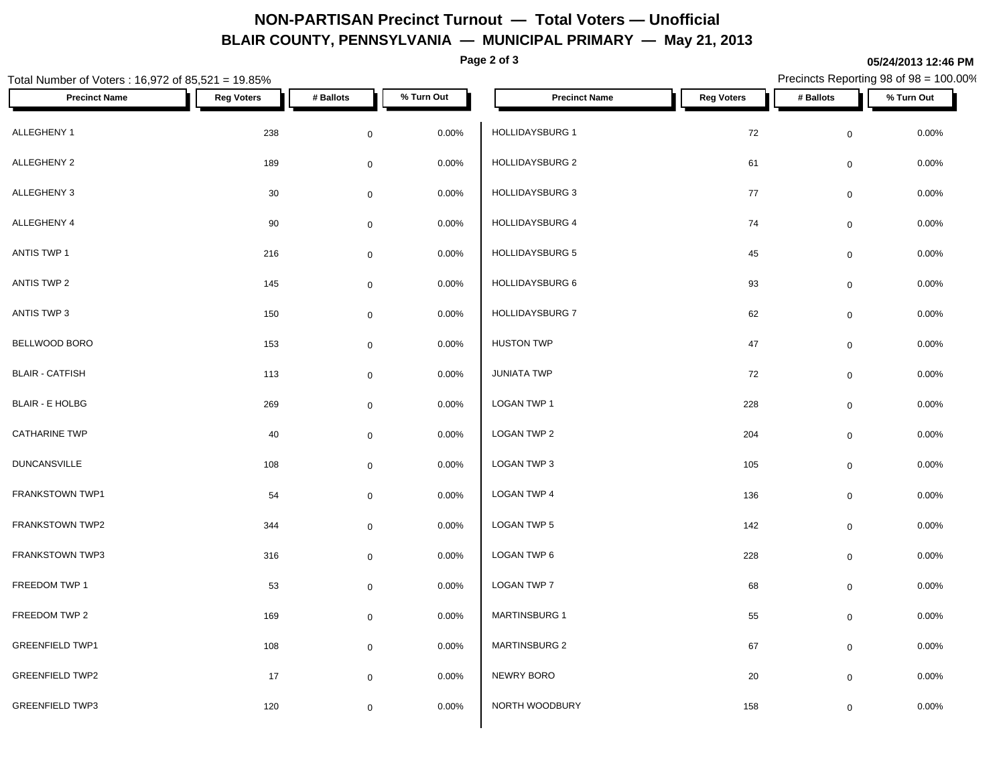# **NON-PARTISAN Precinct Turnout — Total Voters — Unofficial BLAIR COUNTY, PENNSYLVANIA — MUNICIPAL PRIMARY — May 21, 2013**

**Page 2 of 3**

#### **05/24/2013 12:46 PM**

| Total Number of Voters: 16,972 of 85,521 = 19.85% |                   |                     |            |                        |                   |                     | Precincts Reporting 98 of 98 = 100.00% |  |
|---------------------------------------------------|-------------------|---------------------|------------|------------------------|-------------------|---------------------|----------------------------------------|--|
| <b>Precinct Name</b>                              | <b>Reg Voters</b> | # Ballots           | % Turn Out | <b>Precinct Name</b>   | <b>Reg Voters</b> | # Ballots           | % Turn Out                             |  |
| ALLEGHENY 1                                       | 238               | $\mathbf 0$         | 0.00%      | HOLLIDAYSBURG 1        | 72                | $\mathbf 0$         | 0.00%                                  |  |
| ALLEGHENY 2                                       | 189               | $\overline{0}$      | 0.00%      | HOLLIDAYSBURG 2        | 61                | $\mathsf{O}\xspace$ | 0.00%                                  |  |
| ALLEGHENY 3                                       | 30                | $\mathbf 0$         | $0.00\%$   | <b>HOLLIDAYSBURG 3</b> | 77                | $\mathbf 0$         | 0.00%                                  |  |
| ALLEGHENY 4                                       | 90                | $\overline{0}$      | 0.00%      | HOLLIDAYSBURG 4        | 74                | $\mathbf 0$         | $0.00\%$                               |  |
| ANTIS TWP 1                                       | 216               | $\mathbf 0$         | 0.00%      | <b>HOLLIDAYSBURG 5</b> | 45                | $\mathbf 0$         | 0.00%                                  |  |
| ANTIS TWP 2                                       | 145               | $\mathbf 0$         | 0.00%      | HOLLIDAYSBURG 6        | 93                | $\mathsf{O}\xspace$ | 0.00%                                  |  |
| ANTIS TWP 3                                       | 150               | $\mathbf 0$         | 0.00%      | HOLLIDAYSBURG 7        | 62                | $\mathbf 0$         | 0.00%                                  |  |
| BELLWOOD BORO                                     | 153               | $\mathbf 0$         | 0.00%      | <b>HUSTON TWP</b>      | 47                | $\mathbf 0$         | 0.00%                                  |  |
| <b>BLAIR - CATFISH</b>                            | 113               | $\mathbf 0$         | $0.00\%$   | <b>JUNIATA TWP</b>     | 72                | $\mathbf 0$         | 0.00%                                  |  |
| <b>BLAIR - E HOLBG</b>                            | 269               | $\overline{0}$      | 0.00%      | LOGAN TWP 1            | 228               | $\mathbf 0$         | 0.00%                                  |  |
| <b>CATHARINE TWP</b>                              | 40                | $\mathbf 0$         | 0.00%      | LOGAN TWP 2            | 204               | $\mathsf{O}\xspace$ | $0.00\%$                               |  |
| <b>DUNCANSVILLE</b>                               | 108               | $\mathbf 0$         | 0.00%      | LOGAN TWP 3            | 105               | $\mathsf{O}\xspace$ | 0.00%                                  |  |
| FRANKSTOWN TWP1                                   | 54                | $\overline{0}$      | 0.00%      | LOGAN TWP 4            | 136               | $\mathbf 0$         | 0.00%                                  |  |
| FRANKSTOWN TWP2                                   | 344               | $\mathbf 0$         | 0.00%      | LOGAN TWP 5            | 142               | $\mathsf{O}\xspace$ | 0.00%                                  |  |
| FRANKSTOWN TWP3                                   | 316               | $\mathbf 0$         | 0.00%      | LOGAN TWP 6            | 228               | $\mathbf 0$         | 0.00%                                  |  |
| FREEDOM TWP 1                                     | 53                | $\mathbf 0$         | 0.00%      | LOGAN TWP 7            | 68                | $\mathbf 0$         | 0.00%                                  |  |
| FREEDOM TWP 2                                     | 169               | $\mathsf{O}\xspace$ | 0.00%      | <b>MARTINSBURG 1</b>   | 55                | $\mathbf 0$         | 0.00%                                  |  |
| <b>GREENFIELD TWP1</b>                            | 108               | $\overline{0}$      | 0.00%      | MARTINSBURG 2          | 67                | $\mathbf 0$         | 0.00%                                  |  |
| <b>GREENFIELD TWP2</b>                            | 17                | $\mathbf 0$         | 0.00%      | NEWRY BORO             | 20                | $\mathbf 0$         | 0.00%                                  |  |
| <b>GREENFIELD TWP3</b>                            | 120               | $\mathbf 0$         | $0.00\%$   | NORTH WOODBURY         | 158               | $\mathbf 0$         | $0.00\%$                               |  |
|                                                   |                   |                     |            |                        |                   |                     |                                        |  |